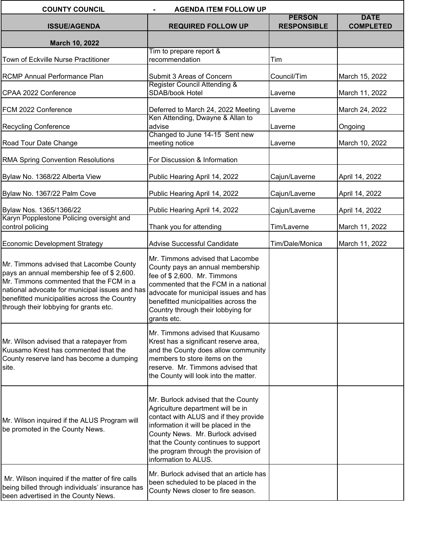| <b>COUNTY COUNCIL</b><br><b>AGENDA ITEM FOLLOW UP</b>                                                                                                                                                                                                                       |                                                                                                                                                                                                                                                                                                       |                                     |                                 |  |
|-----------------------------------------------------------------------------------------------------------------------------------------------------------------------------------------------------------------------------------------------------------------------------|-------------------------------------------------------------------------------------------------------------------------------------------------------------------------------------------------------------------------------------------------------------------------------------------------------|-------------------------------------|---------------------------------|--|
| <b>ISSUE/AGENDA</b>                                                                                                                                                                                                                                                         | <b>REQUIRED FOLLOW UP</b>                                                                                                                                                                                                                                                                             | <b>PERSON</b><br><b>RESPONSIBLE</b> | <b>DATE</b><br><b>COMPLETED</b> |  |
| March 10, 2022                                                                                                                                                                                                                                                              |                                                                                                                                                                                                                                                                                                       |                                     |                                 |  |
|                                                                                                                                                                                                                                                                             | Tim to prepare report &                                                                                                                                                                                                                                                                               |                                     |                                 |  |
| Town of Eckville Nurse Practitioner                                                                                                                                                                                                                                         | recommendation                                                                                                                                                                                                                                                                                        | Tim                                 |                                 |  |
| <b>RCMP Annual Performance Plan</b>                                                                                                                                                                                                                                         | Submit 3 Areas of Concern                                                                                                                                                                                                                                                                             | Council/Tim                         | March 15, 2022                  |  |
| CPAA 2022 Conference                                                                                                                                                                                                                                                        | <b>Register Council Attending &amp;</b><br>SDAB/book Hotel                                                                                                                                                                                                                                            | Laverne                             | March 11, 2022                  |  |
| FCM 2022 Conference                                                                                                                                                                                                                                                         | Deferred to March 24, 2022 Meeting                                                                                                                                                                                                                                                                    | Laverne                             | March 24, 2022                  |  |
| <b>Recycling Conference</b>                                                                                                                                                                                                                                                 | Ken Attending, Dwayne & Allan to<br>advise                                                                                                                                                                                                                                                            | Laverne                             | Ongoing                         |  |
| Road Tour Date Change                                                                                                                                                                                                                                                       | Changed to June 14-15 Sent new<br>meeting notice                                                                                                                                                                                                                                                      | Laverne                             | March 10, 2022                  |  |
| <b>RMA Spring Convention Resolutions</b>                                                                                                                                                                                                                                    | For Discussion & Information                                                                                                                                                                                                                                                                          |                                     |                                 |  |
| Bylaw No. 1368/22 Alberta View                                                                                                                                                                                                                                              | Public Hearing April 14, 2022                                                                                                                                                                                                                                                                         | Cajun/Laverne                       | April 14, 2022                  |  |
| Bylaw No. 1367/22 Palm Cove                                                                                                                                                                                                                                                 | Public Hearing April 14, 2022                                                                                                                                                                                                                                                                         | Cajun/Laverne                       | April 14, 2022                  |  |
| Bylaw Nos. 1365/1366/22<br>Karyn Popplestone Policing oversight and                                                                                                                                                                                                         | Public Hearing April 14, 2022                                                                                                                                                                                                                                                                         | Cajun/Laverne                       | April 14, 2022                  |  |
| control policing                                                                                                                                                                                                                                                            | Thank you for attending                                                                                                                                                                                                                                                                               | Tim/Laverne                         | March 11, 2022                  |  |
| Economic Development Strategy                                                                                                                                                                                                                                               | Advise Successful Candidate                                                                                                                                                                                                                                                                           | Tim/Dale/Monica                     | March 11, 2022                  |  |
| Mr. Timmons advised that Lacombe County<br>pays an annual membership fee of \$2,600.<br>Mr. Timmons commented that the FCM in a<br>national advocate for municipal issues and has<br>benefitted municipalities across the Country<br>through their lobbying for grants etc. | Mr. Timmons advised that Lacombe<br>County pays an annual membership<br>fee of \$2,600. Mr. Timmons<br>commented that the FCM in a national<br>advocate for municipal issues and has<br>benefitted municipalities across the<br>Country through their lobbying for<br>grants etc.                     |                                     |                                 |  |
| Mr. Wilson advised that a ratepayer from<br>Kuusamo Krest has commented that the<br>County reserve land has become a dumping<br>site.                                                                                                                                       | Mr. Timmons advised that Kuusamo<br>Krest has a significant reserve area,<br>and the County does allow community<br>members to store items on the<br>reserve. Mr. Timmons advised that<br>the County will look into the matter.                                                                       |                                     |                                 |  |
| Mr. Wilson inquired if the ALUS Program will<br>be promoted in the County News.                                                                                                                                                                                             | Mr. Burlock advised that the County<br>Agriculture department will be in<br>contact with ALUS and if they provide<br>information it will be placed in the<br>County News. Mr. Burlock advised<br>that the County continues to support<br>the program through the provision of<br>information to ALUS. |                                     |                                 |  |
| Mr. Wilson inquired if the matter of fire calls<br>being billed through individuals' insurance has<br>been advertised in the County News.                                                                                                                                   | Mr. Burlock advised that an article has<br>been scheduled to be placed in the<br>County News closer to fire season.                                                                                                                                                                                   |                                     |                                 |  |